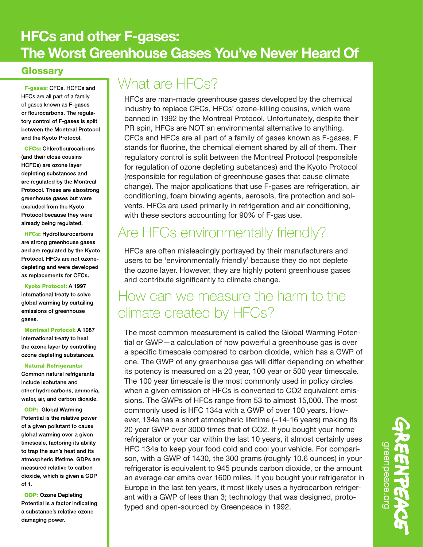#### **HFCs and other F-gases:** The Worst Greenhouse Gases You've Never Heard Of

#### Glossary

F-gases: CFCs, HCFCs and HFCs are all part of a family of gases known as F-gases or flourocarbons. The regulatory control of F-gases is split between the Montreal Protocol and the Kyoto Protocol.

**CFCs: Chloroflourocarbons** (and their close cousins HCFCs) are ozone layer depleting substances and are regulated by the Montreal Protocol. These are alsostrong greenhouse gases but were excluded from the Kyoto Protocol because they were already being regulated.

**HFCs: Hydroflourocarbons** are strong greenhouse gases and are regulated by the Kyoto Protocol. HFCs are not ozonedepleting and were developed as replacements for CFCs.

**Kyoto Protocol: A 1997** international treaty to solve global warming by curtailing emissions of greenhouse gases.

**Montreal Protocol: A 1987** international treaty to heal the ozone layer by controlling ozone depleting substances.

#### **Natural Refrigerants:**

Common natural refrigerants include isobutane and other hydrocarbons, ammonia, water, air, and carbon dioxide.

**GDP:** Global Warming Potential is the relative power of a given pollutant to cause global warming over a given timescale, factoring its ability to trap the sun's heat and its atmospheric lifetime. GDPs are measured relative to carbon dioxide, which is given a GDP of 1.

**ODP: Ozone Depleting** Potential is a factor indicating a substance's relative ozone damaging power.

## What are **HFCs?**

HFCs are man-made greenhouse gases developed by the chemical industry to replace CFCs, HFCs' ozone-killing cousins, which were banned in 1992 by the Montreal Protocol. Unfortunately, despite their PR spin, HFCs are NOT an environmental alternative to anything. CFCs and HFCs are all part of a family of gases known as F-gases. F stands for fluorine, the chemical element shared by all of them. Their regulatory control is split between the Montreal Protocol (responsible for regulation of ozone depleting substances) and the Kyoto Protocol (responsible for regulation of greenhouse gases that cause climate change). The major applications that use F-gases are refrigeration, air conditioning, foam blowing agents, aerosols, fire protection and solvents. HFCs are used primarily in refrigeration and air conditioning, with these sectors accounting for 90% of F-gas use.

# Are HFCs environmentally friendly?

HFCs are often misleadingly portrayed by their manufacturers and users to be 'environmentally friendly' because they do not deplete the ozone layer. However, they are highly potent greenhouse gases and contribute significantly to climate change.

#### How can we measure the harm to the climate created by HFCs?

The most common measurement is called the Global Warming Potential or GWP—a calculation of how powerful a greenhouse gas is over a specific timescale compared to carbon dioxide, which has a GWP of one. The GWP of any greenhouse gas will differ depending on whether its potency is measured on a 20 year, 100 year or 500 year timescale. The 100 year timescale is the most commonly used in policy circles when a given emission of HFCs is converted to CO2 equivalent emissions. The GWPs of HFCs range from 53 to almost 15,000. The most commonly used is HFC 134a with a GWP of over 100 years. However, 134a has a short atmospheric lifetime (~14-16 years) making its 20 year GWP over 3000 times that of CO2. If you bought your home refrigerator or your car within the last 10 years, it almost certainly uses HFC 134a to keep your food cold and cool your vehicle. For comparison, with a GWP of 1430, the 300 grams (roughly 10.6 ounces) in your refrigerator is equivalent to 945 pounds carbon dioxide, or the amount an average car emits over 1600 miles. If you bought your refrigerator in Europe in the last ten years, it most likely uses a hydrocarbon refrigerant with a GWP of less than 3; technology that was designed, prototyped and open-sourced by Greenpeace in 1992.

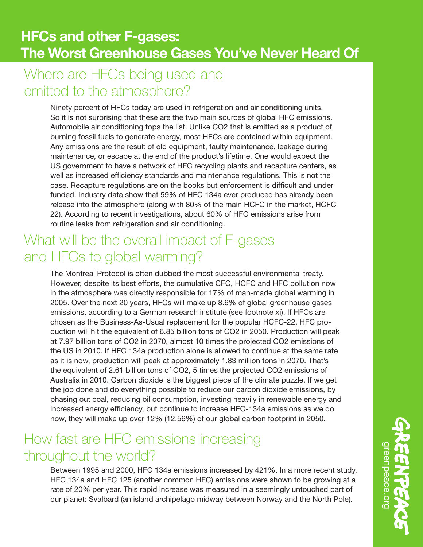## Where are HFCs being used and emitted to the atmosphere?

Ninety percent of HFCs today are used in refrigeration and air conditioning units. So it is not surprising that these are the two main sources of global HFC emissions. Automobile air conditioning tops the list. Unlike CO2 that is emitted as a product of burning fossil fuels to generate energy, most HFCs are contained within equipment. Any emissions are the result of old equipment, faulty maintenance, leakage during maintenance, or escape at the end of the product's lifetime. One would expect the US government to have a network of HFC recycling plants and recapture centers, as well as increased efficiency standards and maintenance regulations. This is not the case. Recapture regulations are on the books but enforcement is difficult and under funded. Industry data show that 59% of HFC 134a ever produced has already been release into the atmosphere (along with 80% of the main HCFC in the market, HCFC 22). According to recent investigations, about 60% of HFC emissions arise from routine leaks from refrigeration and air conditioning.

## What will be the overall impact of F-gases and HFCs to global warming?

The Montreal Protocol is often dubbed the most successful environmental treaty. However, despite its best efforts, the cumulative CFC, HCFC and HFC pollution now in the atmosphere was directly responsible for 17% of man-made global warming in 2005. Over the next 20 years, HFCs will make up 8.6% of global greenhouse gases emissions, according to a German research institute (see footnote xi). If HFCs are chosen as the Business-As-Usual replacement for the popular HCFC-22, HFC production will hit the equivalent of 6.85 billion tons of CO2 in 2050. Production will peak at 7.97 billion tons of CO2 in 2070, almost 10 times the projected CO2 emissions of the US in 2010. If HFC 134a production alone is allowed to continue at the same rate as it is now, production will peak at approximately 1.83 million tons in 2070. That's the equivalent of 2.61 billion tons of CO2, 5 times the projected CO2 emissions of Australia in 2010. Carbon dioxide is the biggest piece of the climate puzzle. If we get the job done and do everything possible to reduce our carbon dioxide emissions, by phasing out coal, reducing oil consumption, investing heavily in renewable energy and increased energy efficiency, but continue to increase HFC-134a emissions as we do now, they will make up over 12% (12.56%) of our global carbon footprint in 2050.

#### How fast are HFC emissions increasing throughout the world?

Between 1995 and 2000, HFC 134a emissions increased by 421%. In a more recent study, HFC 134a and HFC 125 (another common HFC) emissions were shown to be growing at a rate of 20% per year. This rapid increase was measured in a seemingly untouched part of our planet: Svalbard (an island archipelago midway between Norway and the North Pole).

greenpeace.org greenpeace.org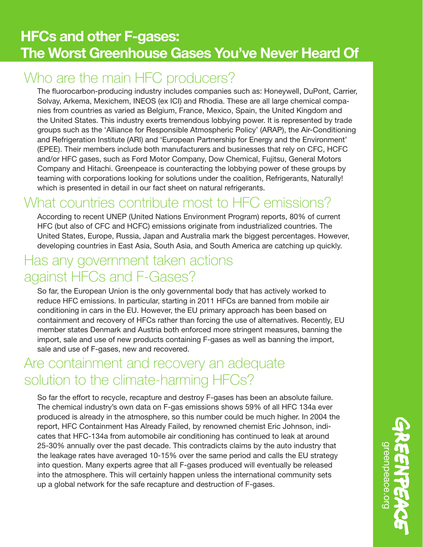#### Who are the main HFC producers?

The fluorocarbon-producing industry includes companies such as: Honeywell, DuPont, Carrier, Solvay, Arkema, Mexichem, INEOS (ex ICI) and Rhodia. These are all large chemical companies from countries as varied as Belgium, France, Mexico, Spain, the United Kingdom and the United States. This industry exerts tremendous lobbying power. It is represented by trade groups such as the 'Alliance for Responsible Atmospheric Policy' (ARAP), the Air-Conditioning and Refrigeration Institute (ARI) and 'European Partnership for Energy and the Environment' (EPEE). Their members include both manufacturers and businesses that rely on CFC, HCFC and/or HFC gases, such as Ford Motor Company, Dow Chemical, Fujitsu, General Motors Company and Hitachi. Greenpeace is counteracting the lobbying power of these groups by teaming with corporations looking for solutions under the coalition, Refrigerants, Naturally! which is presented in detail in our fact sheet on natural refrigerants.

### What countries contribute most to HFC emissions?

According to recent UNEP (United Nations Environment Program) reports, 80% of current HFC (but also of CFC and HCFC) emissions originate from industrialized countries. The United States, Europe, Russia, Japan and Australia mark the biggest percentages. However, developing countries in East Asia, South Asia, and South America are catching up quickly.

#### Has any government taken actions against HFCs and F-Gases?

So far, the European Union is the only governmental body that has actively worked to reduce HFC emissions. In particular, starting in 2011 HFCs are banned from mobile air conditioning in cars in the EU. However, the EU primary approach has been based on containment and recovery of HFCs rather than forcing the use of alternatives. Recently, EU member states Denmark and Austria both enforced more stringent measures, banning the import, sale and use of new products containing F-gases as well as banning the import, sale and use of F-gases, new and recovered.

#### Are containment and recovery an adequate solution to the climate-harming HFCs?

So far the effort to recycle, recapture and destroy F-gases has been an absolute failure. The chemical industry's own data on F-gas emissions shows 59% of all HFC 134a ever produced is already in the atmosphere, so this number could be much higher. In 2004 the report, HFC Containment Has Already Failed, by renowned chemist Eric Johnson, indicates that HFC-134a from automobile air conditioning has continued to leak at around 25-30% annually over the past decade. This contradicts claims by the auto industry that the leakage rates have averaged 10-15% over the same period and calls the EU strategy into question. Many experts agree that all F-gases produced will eventually be released into the atmosphere. This will certainly happen unless the international community sets up a global network for the safe recapture and destruction of F-gases.